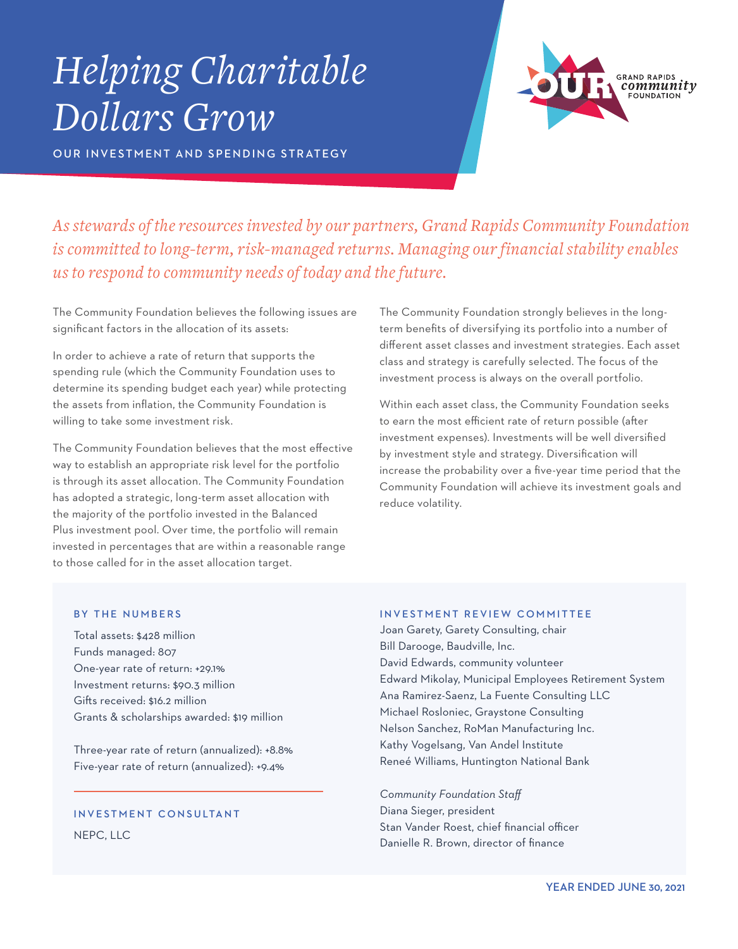# *Helping Charitable Dollars Grow*

OUR INVESTMENT AND SPENDING STRATEGY



*As stewards of the resources invested by our partners, Grand Rapids Community Foundation is committed to long-term, risk-managed returns. Managing our financial stability enables us to respond to community needs of today and the future.*

The Community Foundation believes the following issues are significant factors in the allocation of its assets:

In order to achieve a rate of return that supports the spending rule (which the Community Foundation uses to determine its spending budget each year) while protecting the assets from inflation, the Community Foundation is willing to take some investment risk.

The Community Foundation believes that the most effective way to establish an appropriate risk level for the portfolio is through its asset allocation. The Community Foundation has adopted a strategic, long-term asset allocation with the majority of the portfolio invested in the Balanced Plus investment pool. Over time, the portfolio will remain invested in percentages that are within a reasonable range to those called for in the asset allocation target.

The Community Foundation strongly believes in the longterm benefits of diversifying its portfolio into a number of different asset classes and investment strategies. Each asset class and strategy is carefully selected. The focus of the investment process is always on the overall portfolio.

Within each asset class, the Community Foundation seeks to earn the most efficient rate of return possible (after investment expenses). Investments will be well diversified by investment style and strategy. Diversification will increase the probability over a five-year time period that the Community Foundation will achieve its investment goals and reduce volatility.

#### **BY THE NUMBERS**

Total assets: \$428 million Funds managed: 807 One-year rate of return: +29.1% Investment returns: \$90.3 million Gifts received: \$16.2 million Grants & scholarships awarded: \$19 million

Three-year rate of return (annualized): +8.8% Five-year rate of return (annualized): +9.4%

### **INVESTMENT CONSULTANT**

NEPC, LLC

#### **INVESTMENT REVIEW COMMITTEE**

Joan Garety, Garety Consulting, chair Bill Darooge, Baudville, Inc. David Edwards, community volunteer Edward Mikolay, Municipal Employees Retirement System Ana Ramirez-Saenz, La Fuente Consulting LLC Michael Rosloniec, Graystone Consulting Nelson Sanchez, RoMan Manufacturing Inc. Kathy Vogelsang, Van Andel Institute Reneé Williams, Huntington National Bank

*Community Foundation Staff* Diana Sieger, president Stan Vander Roest, chief financial officer Danielle R. Brown, director of finance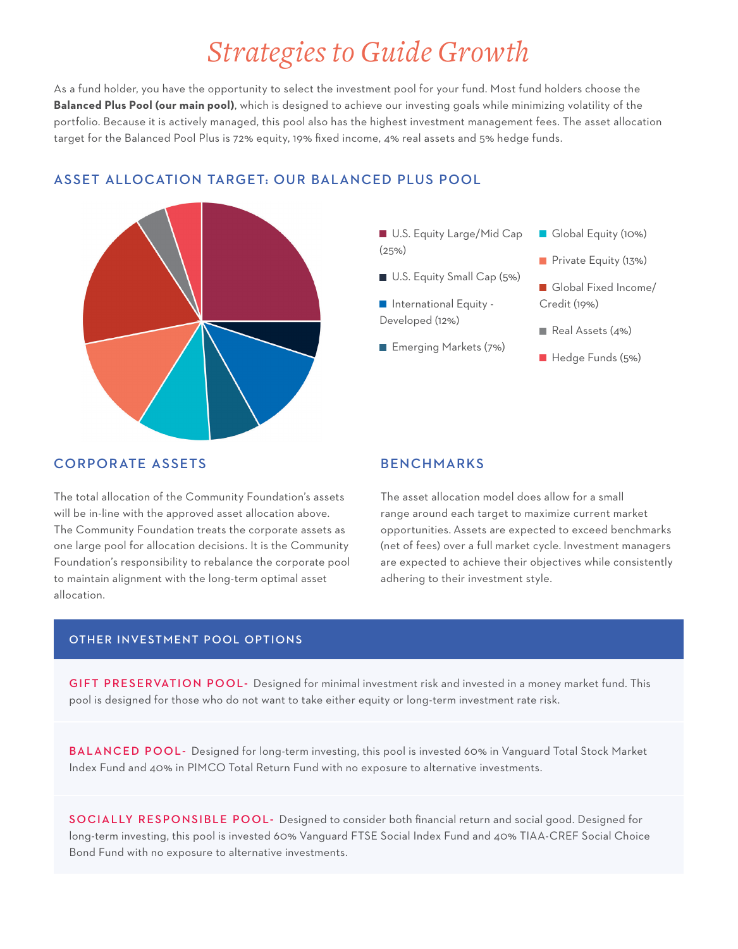### *Strategies to Guide Growth*

As a fund holder, you have the opportunity to select the investment pool for your fund. Most fund holders choose the **Balanced Plus Pool (our main pool)**, which is designed to achieve our investing goals while minimizing volatility of the portfolio. Because it is actively managed, this pool also has the highest investment management fees. The asset allocation target for the Balanced Pool Plus is 72% equity, 19% fixed income, 4% real assets and 5% hedge funds.



#### **ASSET ALLOCATION TARGET: OUR BALANCED PLUS POOL**

- U.S. Equity Large/Mid Cap (25%)
- U.S. Equity Small Cap (5%)
- **International Equity -**Developed (12%)
- **Emerging Markets (7%)**
- Global Equity (10%)
- **Private Equity (13%)**
- Global Fixed Income/ Credit (19%)
- Real Assets (4%)
- Hedge Funds (5%)

#### **CORPORATE ASSETS**

The total allocation of the Community Foundation's assets will be in-line with the approved asset allocation above. The Community Foundation treats the corporate assets as one large pool for allocation decisions. It is the Community Foundation's responsibility to rebalance the corporate pool to maintain alignment with the long-term optimal asset allocation.

#### **BENCHMARKS**

The asset allocation model does allow for a small range around each target to maximize current market opportunities. Assets are expected to exceed benchmarks (net of fees) over a full market cycle. Investment managers are expected to achieve their objectives while consistently adhering to their investment style.

#### **OTHER INVESTMENT POOL OPTIONS**

GIFT PRESERVATION POOL- Designed for minimal investment risk and invested in a money market fund. This pool is designed for those who do not want to take either equity or long-term investment rate risk.

BALANCED POOL- Designed for long-term investing, this pool is invested 60% in Vanguard Total Stock Market Index Fund and 40% in PIMCO Total Return Fund with no exposure to alternative investments.

SOCIALLY RESPONSIBLE POOL- Designed to consider both financial return and social good. Designed for long-term investing, this pool is invested 60% Vanguard FTSE Social Index Fund and 40% TIAA-CREF Social Choice Bond Fund with no exposure to alternative investments.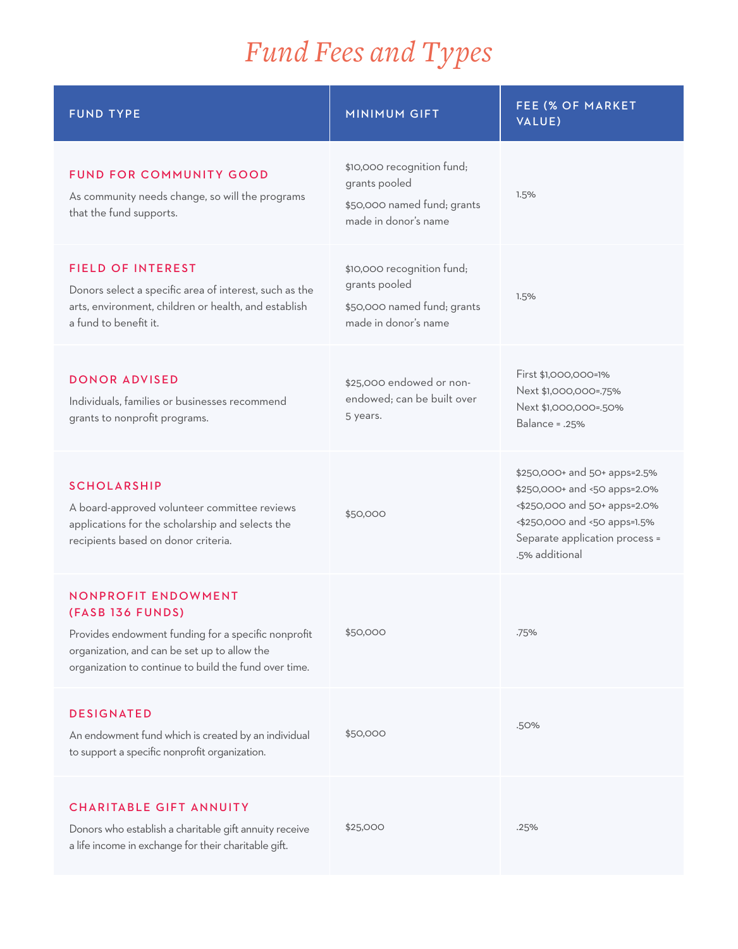## *Fund Fees and Types*

| <b>FUND TYPE</b>                                                                                                                                                                                               | <b>MINIMUM GIFT</b>                                                                                | FEE (% OF MARKET<br>VALUE)                                                                                                                                                       |
|----------------------------------------------------------------------------------------------------------------------------------------------------------------------------------------------------------------|----------------------------------------------------------------------------------------------------|----------------------------------------------------------------------------------------------------------------------------------------------------------------------------------|
| <b>FUND FOR COMMUNITY GOOD</b><br>As community needs change, so will the programs<br>that the fund supports.                                                                                                   | \$10,000 recognition fund;<br>grants pooled<br>\$50,000 named fund; grants<br>made in donor's name | 1.5%                                                                                                                                                                             |
| <b>FIELD OF INTEREST</b><br>Donors select a specific area of interest, such as the<br>arts, environment, children or health, and establish<br>a fund to benefit it.                                            | \$10,000 recognition fund;<br>grants pooled<br>\$50,000 named fund; grants<br>made in donor's name | 1.5%                                                                                                                                                                             |
| <b>DONOR ADVISED</b><br>Individuals, families or businesses recommend<br>grants to nonprofit programs.                                                                                                         | \$25,000 endowed or non-<br>endowed; can be built over<br>5 years.                                 | First \$1,000,000=1%<br>Next \$1,000,000=.75%<br>Next \$1,000,000=.50%<br>Balance = .25%                                                                                         |
| <b>SCHOLARSHIP</b><br>A board-approved volunteer committee reviews<br>applications for the scholarship and selects the<br>recipients based on donor criteria.                                                  | \$50,000                                                                                           | \$250,000+ and 50+ apps=2.5%<br>\$250,000+ and <50 apps=2.0%<br><\$250,000 and 50+ apps=2.0%<br><\$250,000 and <50 apps=1.5%<br>Separate application process =<br>.5% additional |
| <b>NONPROFIT ENDOWMENT</b><br>(FASB 136 FUNDS)<br>Provides endowment funding for a specific nonprofit<br>organization, and can be set up to allow the<br>organization to continue to build the fund over time. | \$50,000                                                                                           | .75%                                                                                                                                                                             |
| <b>DESIGNATED</b><br>An endowment fund which is created by an individual<br>to support a specific nonprofit organization.                                                                                      | \$50,000                                                                                           | .50%                                                                                                                                                                             |
| <b>CHARITABLE GIFT ANNUITY</b><br>Donors who establish a charitable gift annuity receive<br>a life income in exchange for their charitable gift.                                                               | \$25,000                                                                                           | .25%                                                                                                                                                                             |